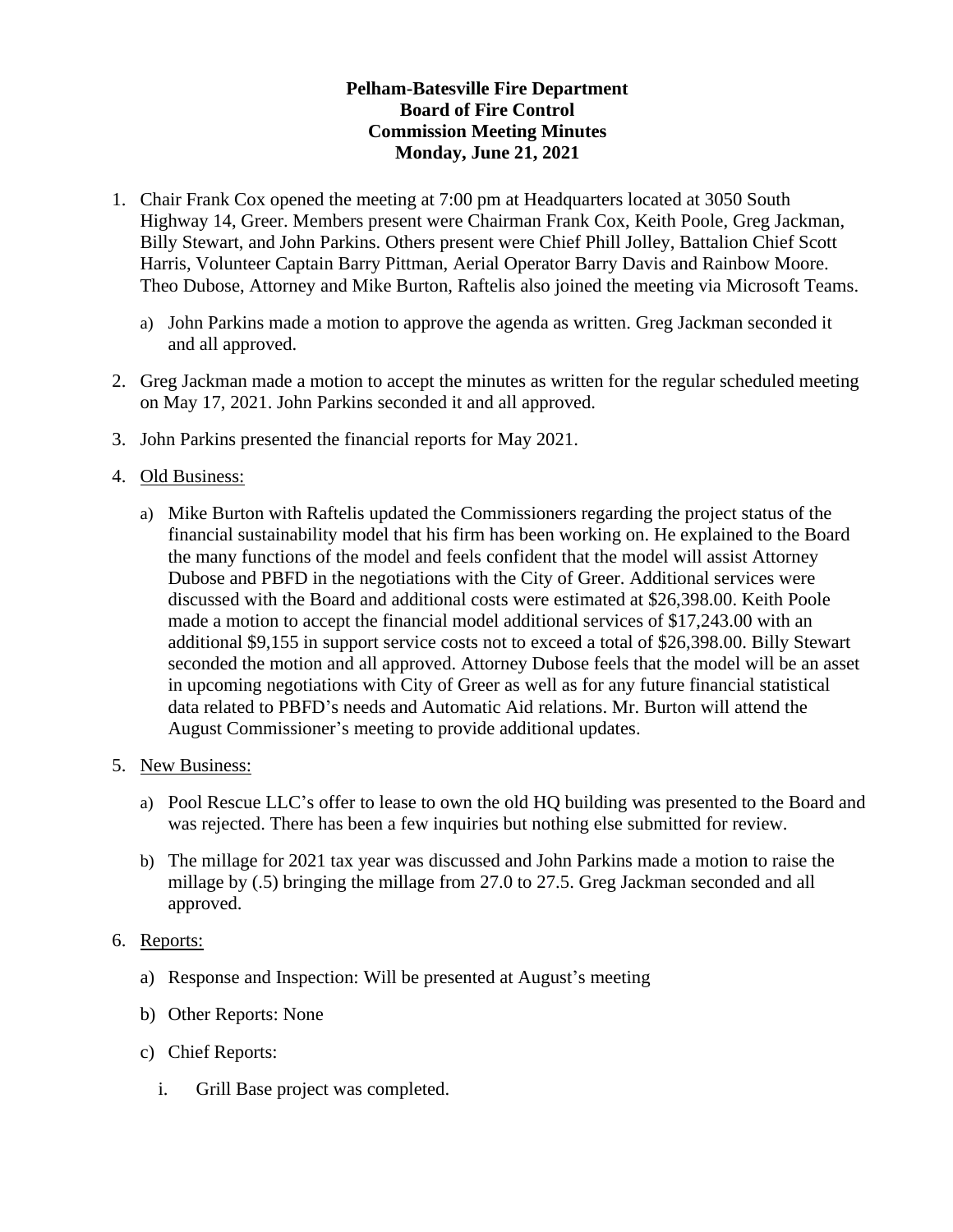## **Pelham-Batesville Fire Department Board of Fire Control Commission Meeting Minutes Monday, June 21, 2021**

- 1. Chair Frank Cox opened the meeting at 7:00 pm at Headquarters located at 3050 South Highway 14, Greer. Members present were Chairman Frank Cox, Keith Poole, Greg Jackman, Billy Stewart, and John Parkins. Others present were Chief Phill Jolley, Battalion Chief Scott Harris, Volunteer Captain Barry Pittman, Aerial Operator Barry Davis and Rainbow Moore. Theo Dubose, Attorney and Mike Burton, Raftelis also joined the meeting via Microsoft Teams.
	- a) John Parkins made a motion to approve the agenda as written. Greg Jackman seconded it and all approved.
- 2. Greg Jackman made a motion to accept the minutes as written for the regular scheduled meeting on May 17, 2021. John Parkins seconded it and all approved.
- 3. John Parkins presented the financial reports for May 2021.
- 4. Old Business:
	- a) Mike Burton with Raftelis updated the Commissioners regarding the project status of the financial sustainability model that his firm has been working on. He explained to the Board the many functions of the model and feels confident that the model will assist Attorney Dubose and PBFD in the negotiations with the City of Greer. Additional services were discussed with the Board and additional costs were estimated at \$26,398.00. Keith Poole made a motion to accept the financial model additional services of \$17,243.00 with an additional \$9,155 in support service costs not to exceed a total of \$26,398.00. Billy Stewart seconded the motion and all approved. Attorney Dubose feels that the model will be an asset in upcoming negotiations with City of Greer as well as for any future financial statistical data related to PBFD's needs and Automatic Aid relations. Mr. Burton will attend the August Commissioner's meeting to provide additional updates.
- 5. New Business:
	- a) Pool Rescue LLC's offer to lease to own the old HQ building was presented to the Board and was rejected. There has been a few inquiries but nothing else submitted for review.
	- b) The millage for 2021 tax year was discussed and John Parkins made a motion to raise the millage by (.5) bringing the millage from 27.0 to 27.5. Greg Jackman seconded and all approved.
- 6. Reports:
	- a) Response and Inspection: Will be presented at August's meeting
	- b) Other Reports: None
	- c) Chief Reports:
		- i. Grill Base project was completed.